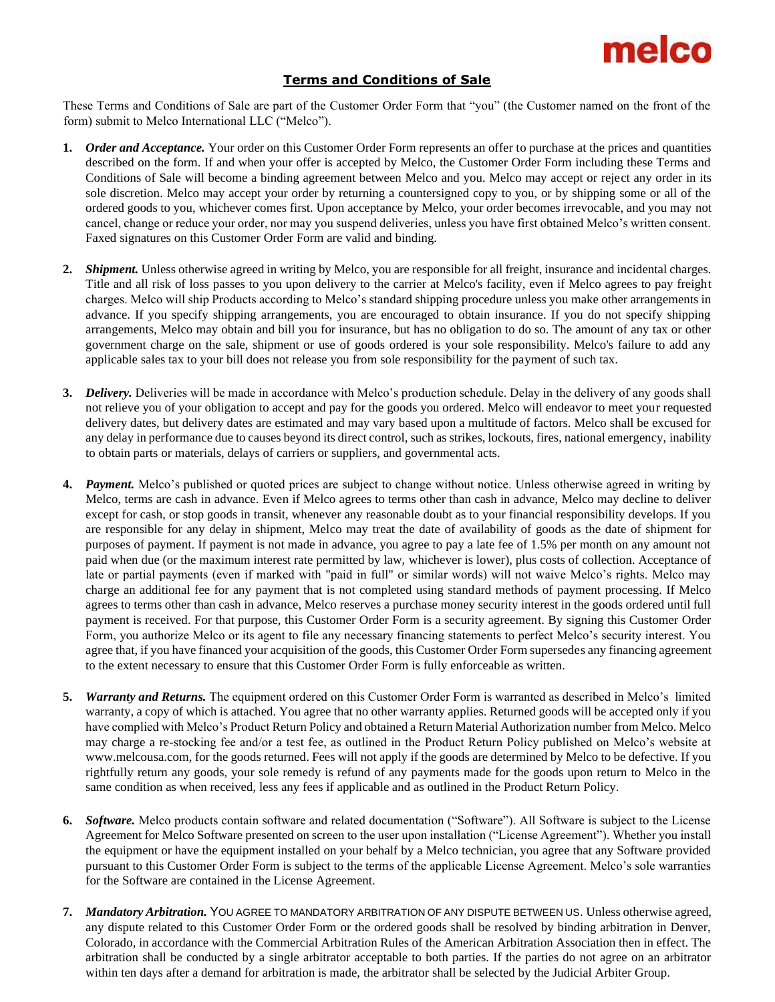

## **Terms and Conditions of Sale**

These Terms and Conditions of Sale are part of the Customer Order Form that "you" (the Customer named on the front of the form) submit to Melco International LLC ("Melco").

- **1.** *Order and Acceptance.* Your order on this Customer Order Form represents an offer to purchase at the prices and quantities described on the form. If and when your offer is accepted by Melco, the Customer Order Form including these Terms and Conditions of Sale will become a binding agreement between Melco and you. Melco may accept or reject any order in its sole discretion. Melco may accept your order by returning a countersigned copy to you, or by shipping some or all of the ordered goods to you, whichever comes first. Upon acceptance by Melco, your order becomes irrevocable, and you may not cancel, change or reduce your order, nor may you suspend deliveries, unless you have first obtained Melco's written consent. Faxed signatures on this Customer Order Form are valid and binding.
- **2.** *Shipment.* Unless otherwise agreed in writing by Melco, you are responsible for all freight, insurance and incidental charges. Title and all risk of loss passes to you upon delivery to the carrier at Melco's facility, even if Melco agrees to pay freight charges. Melco will ship Products according to Melco's standard shipping procedure unless you make other arrangements in advance. If you specify shipping arrangements, you are encouraged to obtain insurance. If you do not specify shipping arrangements, Melco may obtain and bill you for insurance, but has no obligation to do so. The amount of any tax or other government charge on the sale, shipment or use of goods ordered is your sole responsibility. Melco's failure to add any applicable sales tax to your bill does not release you from sole responsibility for the payment of such tax.
- **3.** *Delivery.* Deliveries will be made in accordance with Melco's production schedule. Delay in the delivery of any goods shall not relieve you of your obligation to accept and pay for the goods you ordered. Melco will endeavor to meet your requested delivery dates, but delivery dates are estimated and may vary based upon a multitude of factors. Melco shall be excused for any delay in performance due to causes beyond its direct control, such as strikes, lockouts, fires, national emergency, inability to obtain parts or materials, delays of carriers or suppliers, and governmental acts.
- **4.** *Payment.* Melco's published or quoted prices are subject to change without notice. Unless otherwise agreed in writing by Melco, terms are cash in advance. Even if Melco agrees to terms other than cash in advance, Melco may decline to deliver except for cash, or stop goods in transit, whenever any reasonable doubt as to your financial responsibility develops. If you are responsible for any delay in shipment, Melco may treat the date of availability of goods as the date of shipment for purposes of payment. If payment is not made in advance, you agree to pay a late fee of 1.5% per month on any amount not paid when due (or the maximum interest rate permitted by law, whichever is lower), plus costs of collection. Acceptance of late or partial payments (even if marked with "paid in full" or similar words) will not waive Melco's rights. Melco may charge an additional fee for any payment that is not completed using standard methods of payment processing. If Melco agrees to terms other than cash in advance, Melco reserves a purchase money security interest in the goods ordered until full payment is received. For that purpose, this Customer Order Form is a security agreement. By signing this Customer Order Form, you authorize Melco or its agent to file any necessary financing statements to perfect Melco's security interest. You agree that, if you have financed your acquisition of the goods, this Customer Order Form supersedes any financing agreement to the extent necessary to ensure that this Customer Order Form is fully enforceable as written.
- **5.** *Warranty and Returns.* The equipment ordered on this Customer Order Form is warranted as described in Melco's limited warranty, a copy of which is attached. You agree that no other warranty applies. Returned goods will be accepted only if you have complied with Melco's Product Return Policy and obtained a Return Material Authorization number from Melco. Melco may charge a re-stocking fee and/or a test fee, as outlined in the Product Return Policy published on Melco's website at [www.melcousa.com, fo](http://www.melcousa.com/)r the goods returned. Fees will not apply if the goods are determined by Melco to be defective. If you rightfully return any goods, your sole remedy is refund of any payments made for the goods upon return to Melco in the same condition as when received, less any fees if applicable and as outlined in the Product Return Policy.
- **6.** *Software.* Melco products contain software and related documentation ("Software"). All Software is subject to the License Agreement for Melco Software presented on screen to the user upon installation ("License Agreement"). Whether you install the equipment or have the equipment installed on your behalf by a Melco technician, you agree that any Software provided pursuant to this Customer Order Form is subject to the terms of the applicable License Agreement. Melco's sole warranties for the Software are contained in the License Agreement.
- **7.** *Mandatory Arbitration.* YOU AGREE TO MANDATORY ARBITRATION OF ANY DISPUTE BETWEEN US. Unless otherwise agreed, any dispute related to this Customer Order Form or the ordered goods shall be resolved by binding arbitration in Denver, Colorado, in accordance with the Commercial Arbitration Rules of the American Arbitration Association then in effect. The arbitration shall be conducted by a single arbitrator acceptable to both parties. If the parties do not agree on an arbitrator within ten days after a demand for arbitration is made, the arbitrator shall be selected by the Judicial Arbiter Group.